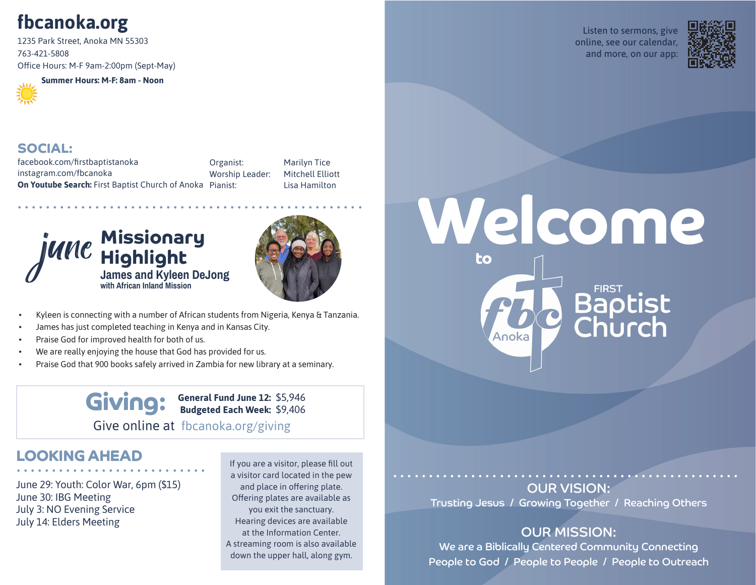# **fbcanoka.org**

1235 Park Street, Anoka MN 55303 763-421-5808 Office Hours: M-F 9am-2:00pm (Sept-May)



**Summer Hours: M-F: 8am - Noon**





#### **SOCIAL:**

facebook.com/firstbaptistanoka instagram.com/fbcanoka **On Youtube Search:** First Baptist Church of Anoka Pianist: Organist:

Worship Leader: Marilyn Tice Mitchell Elliott Lisa Hamilton





- Kyleen is connecting with a number of African students from Nigeria, Kenya & Tanzania.
- James has just completed teaching in Kenya and in Kansas City.
- Praise God for improved health for both of us.
- We are really enjoying the house that God has provided for us.
- Praise God that 900 books safely arrived in Zambia for new library at a seminary.

#### **General Fund June 12: Budgeted Each Week:**  $Giving:$ Give online at fbcanoka.org/giving

# **LOOKING AHEAD<br>..........................**..

June 29: Youth: Color War, 6pm (\$15) June 30: IBG Meeting July 3: NO Evening Service July 14: Elders Meeting

If you are a visitor, please fill out a visitor card located in the pew and place in offering plate. Offering plates are available as you exit the sanctuary. Hearing devices are available at the Information Center. A streaming room is also available down the upper hall, along gym.

Listen to sermons, give online, see our calendar, and more, on our app:



# **Welcome to Baptist**<br>Church Anoka

#### ................................................. OUR VISION: Trusting Jesus / Growing Together / Reaching Others

## OUR MISSION:

We are a Biblically Centered Community Connecting People to God / People to People / People to Outreach